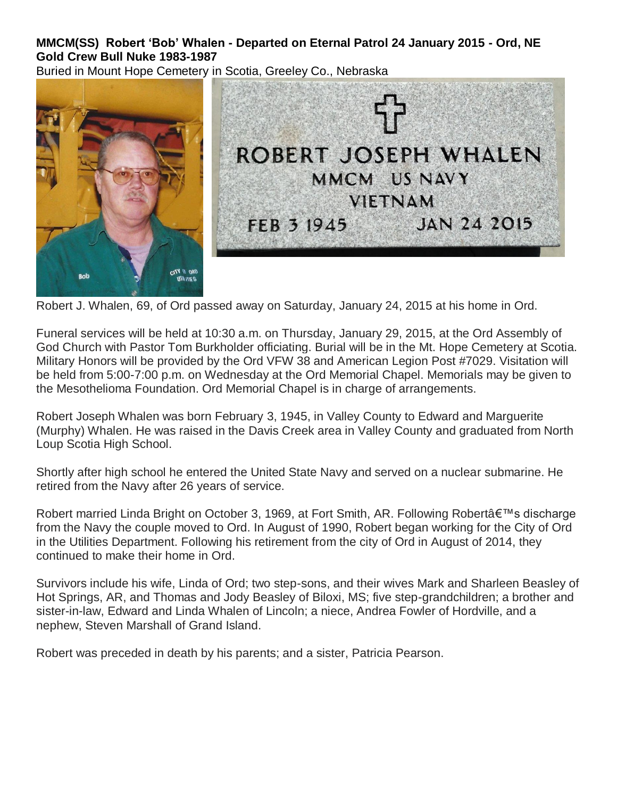## **MMCM(SS) Robert 'Bob' Whalen - Departed on Eternal Patrol 24 January 2015 - Ord, NE Gold Crew Bull Nuke 1983-1987**

Buried in Mount Hope Cemetery in Scotia, Greeley Co., Nebraska



Robert J. Whalen, 69, of Ord passed away on Saturday, January 24, 2015 at his home in Ord.

Funeral services will be held at 10:30 a.m. on Thursday, January 29, 2015, at the Ord Assembly of God Church with Pastor Tom Burkholder officiating. Burial will be in the Mt. Hope Cemetery at Scotia. Military Honors will be provided by the Ord VFW 38 and American Legion Post #7029. Visitation will be held from 5:00-7:00 p.m. on Wednesday at the Ord Memorial Chapel. Memorials may be given to the Mesothelioma Foundation. Ord Memorial Chapel is in charge of arrangements.

Robert Joseph Whalen was born February 3, 1945, in Valley County to Edward and Marguerite (Murphy) Whalen. He was raised in the Davis Creek area in Valley County and graduated from North Loup Scotia High School.

Shortly after high school he entered the United State Navy and served on a nuclear submarine. He retired from the Navy after 26 years of service.

Robert married Linda Bright on October 3, 1969, at Fort Smith, AR. Following Robert's discharge from the Navy the couple moved to Ord. In August of 1990, Robert began working for the City of Ord in the Utilities Department. Following his retirement from the city of Ord in August of 2014, they continued to make their home in Ord.

Survivors include his wife, Linda of Ord; two step-sons, and their wives Mark and Sharleen Beasley of Hot Springs, AR, and Thomas and Jody Beasley of Biloxi, MS; five step-grandchildren; a brother and sister-in-law, Edward and Linda Whalen of Lincoln; a niece, Andrea Fowler of Hordville, and a nephew, Steven Marshall of Grand Island.

Robert was preceded in death by his parents; and a sister, Patricia Pearson.